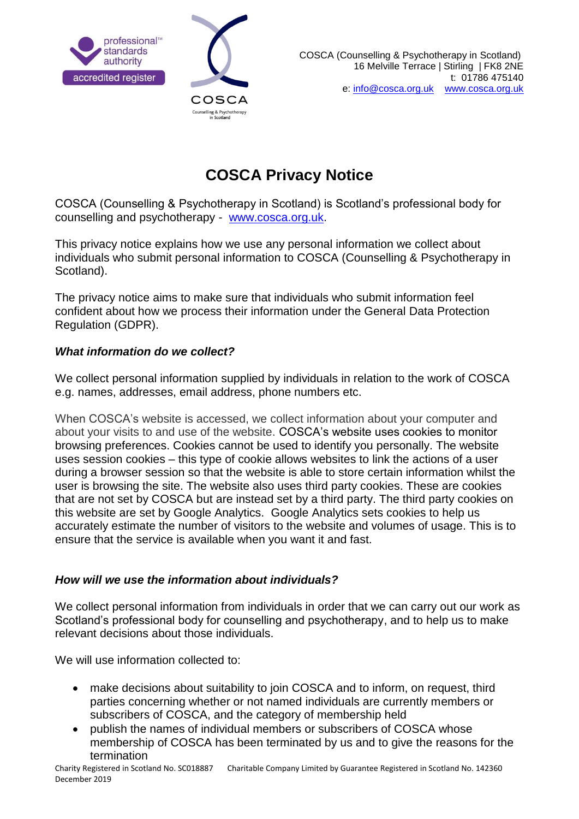



# **COSCA Privacy Notice**

COSCA (Counselling & Psychotherapy in Scotland) is Scotland's professional body for counselling and psychotherapy - [www.cosca.org.uk.](http://www.cosca.org.uk/)

This privacy notice explains how we use any personal information we collect about individuals who submit personal information to COSCA (Counselling & Psychotherapy in Scotland).

The privacy notice aims to make sure that individuals who submit information feel confident about how we process their information under the General Data Protection Regulation (GDPR).

# *What information do we collect?*

We collect personal information supplied by individuals in relation to the work of COSCA e.g. names, addresses, email address, phone numbers etc.

When COSCA's website is accessed, we collect information about your computer and about your visits to and use of the website. COSCA's website uses cookies to monitor browsing preferences. Cookies cannot be used to identify you personally. The website uses session cookies – this type of cookie allows websites to link the actions of a user during a browser session so that the website is able to store certain information whilst the user is browsing the site. The website also uses third party cookies. These are cookies that are not set by COSCA but are instead set by a third party. The third party cookies on this website are set by Google Analytics. Google Analytics sets cookies to help us accurately estimate the number of visitors to the website and volumes of usage. This is to ensure that the service is available when you want it and fast.

## *How will we use the information about individuals?*

We collect personal information from individuals in order that we can carry out our work as Scotland's professional body for counselling and psychotherapy, and to help us to make relevant decisions about those individuals.

We will use information collected to:

- make decisions about suitability to join COSCA and to inform, on request, third parties concerning whether or not named individuals are currently members or subscribers of COSCA, and the category of membership held
- publish the names of individual members or subscribers of COSCA whose membership of COSCA has been terminated by us and to give the reasons for the termination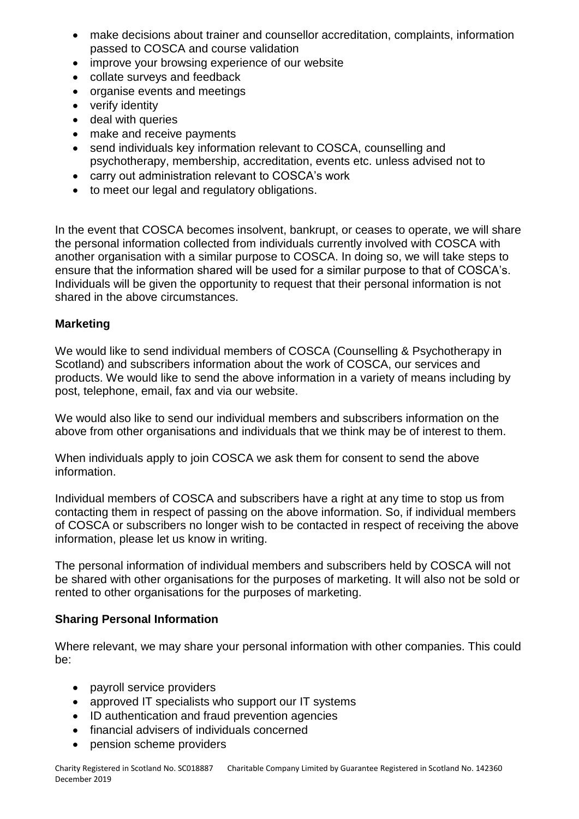- make decisions about trainer and counsellor accreditation, complaints, information passed to COSCA and course validation
- improve your browsing experience of our website
- collate surveys and feedback
- organise events and meetings
- verify identity
- deal with queries
- make and receive payments
- send individuals key information relevant to COSCA, counselling and psychotherapy, membership, accreditation, events etc. unless advised not to
- carry out administration relevant to COSCA's work
- to meet our legal and regulatory obligations.

In the event that COSCA becomes insolvent, bankrupt, or ceases to operate, we will share the personal information collected from individuals currently involved with COSCA with another organisation with a similar purpose to COSCA. In doing so, we will take steps to ensure that the information shared will be used for a similar purpose to that of COSCA's. Individuals will be given the opportunity to request that their personal information is not shared in the above circumstances.

# **Marketing**

We would like to send individual members of COSCA (Counselling & Psychotherapy in Scotland) and subscribers information about the work of COSCA, our services and products. We would like to send the above information in a variety of means including by post, telephone, email, fax and via our website.

We would also like to send our individual members and subscribers information on the above from other organisations and individuals that we think may be of interest to them.

When individuals apply to join COSCA we ask them for consent to send the above information.

Individual members of COSCA and subscribers have a right at any time to stop us from contacting them in respect of passing on the above information. So, if individual members of COSCA or subscribers no longer wish to be contacted in respect of receiving the above information, please let us know in writing.

The personal information of individual members and subscribers held by COSCA will not be shared with other organisations for the purposes of marketing. It will also not be sold or rented to other organisations for the purposes of marketing.

## **Sharing Personal Information**

Where relevant, we may share your personal information with other companies. This could be:

- payroll service providers
- approved IT specialists who support our IT systems
- ID authentication and fraud prevention agencies
- financial advisers of individuals concerned
- pension scheme providers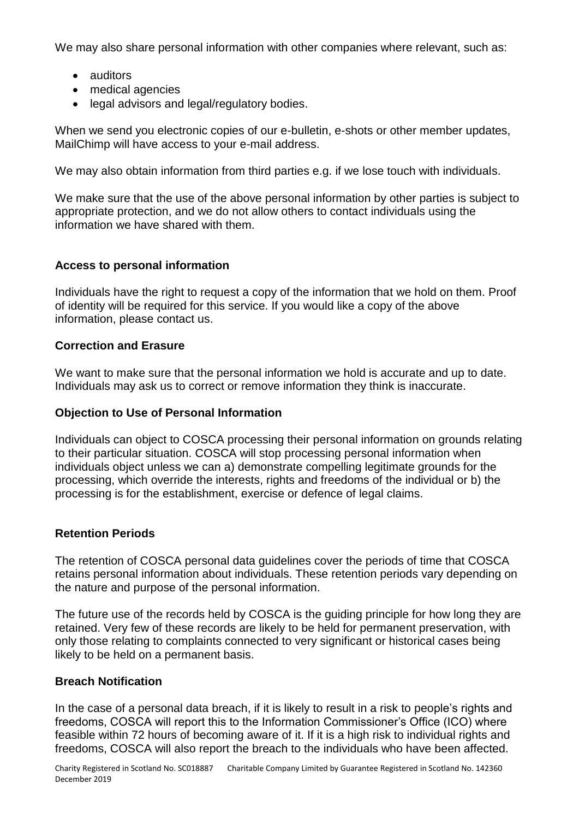We may also share personal information with other companies where relevant, such as:

- auditors
- medical agencies
- legal advisors and legal/regulatory bodies.

When we send you electronic copies of our e-bulletin, e-shots or other member updates, MailChimp will have access to your e-mail address.

We may also obtain information from third parties e.g. if we lose touch with individuals.

We make sure that the use of the above personal information by other parties is subject to appropriate protection, and we do not allow others to contact individuals using the information we have shared with them.

## **Access to personal information**

Individuals have the right to request a copy of the information that we hold on them. Proof of identity will be required for this service. If you would like a copy of the above information, please contact us.

#### **Correction and Erasure**

We want to make sure that the personal information we hold is accurate and up to date. Individuals may ask us to correct or remove information they think is inaccurate.

#### **Objection to Use of Personal Information**

Individuals can object to COSCA processing their personal information on grounds relating to their particular situation. COSCA will stop processing personal information when individuals object unless we can a) demonstrate compelling legitimate grounds for the processing, which override the interests, rights and freedoms of the individual or b) the processing is for the establishment, exercise or defence of legal claims.

## **Retention Periods**

The retention of COSCA personal data guidelines cover the periods of time that COSCA retains personal information about individuals. These retention periods vary depending on the nature and purpose of the personal information.

The future use of the records held by COSCA is the guiding principle for how long they are retained. Very few of these records are likely to be held for permanent preservation, with only those relating to complaints connected to very significant or historical cases being likely to be held on a permanent basis.

## **Breach Notification**

In the case of a personal data breach, if it is likely to result in a risk to people's rights and freedoms, COSCA will report this to the Information Commissioner's Office (ICO) where feasible within 72 hours of becoming aware of it. If it is a high risk to individual rights and freedoms, COSCA will also report the breach to the individuals who have been affected.